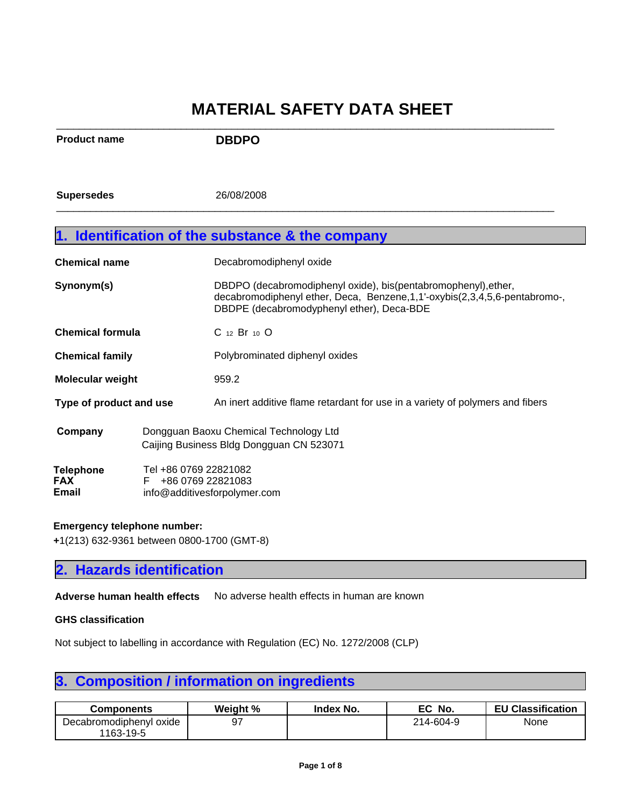| <b>Product name</b>              |                                                                                    | <b>DBDPO</b>                                                                                                                                                                                   |  |
|----------------------------------|------------------------------------------------------------------------------------|------------------------------------------------------------------------------------------------------------------------------------------------------------------------------------------------|--|
| <b>Supersedes</b>                |                                                                                    | 26/08/2008                                                                                                                                                                                     |  |
|                                  |                                                                                    | 1. Identification of the substance & the company                                                                                                                                               |  |
| <b>Chemical name</b>             |                                                                                    | Decabromodiphenyl oxide                                                                                                                                                                        |  |
| Synonym(s)                       |                                                                                    | DBDPO (decabromodiphenyl oxide), bis(pentabromophenyl), ether,<br>decabromodiphenyl ether, Deca, Benzene, 1, 1'-oxybis(2, 3, 4, 5, 6-pentabromo-,<br>DBDPE (decabromodyphenyl ether), Deca-BDE |  |
| <b>Chemical formula</b>          |                                                                                    | C 12 Br 10 O                                                                                                                                                                                   |  |
| <b>Chemical family</b>           |                                                                                    | Polybrominated diphenyl oxides                                                                                                                                                                 |  |
| <b>Molecular weight</b>          |                                                                                    | 959.2                                                                                                                                                                                          |  |
| Type of product and use          |                                                                                    | An inert additive flame retardant for use in a variety of polymers and fibers                                                                                                                  |  |
| Company                          | Dongguan Baoxu Chemical Technology Ltd<br>Caijing Business Bldg Dongguan CN 523071 |                                                                                                                                                                                                |  |
| <b>Telephone</b><br>FAX<br>Email | Tel +86 0769 22821082<br>+86 0769 22821083<br>F<br>info@additivesforpolymer.com    |                                                                                                                                                                                                |  |

### **Emergency telephone number:**

**+**1(213) 632-9361 between 0800-1700 (GMT-8)

## **2. Hazards identification**

Adverse human health effects No adverse health effects in human are known

#### **GHS classification**

Not subject to labelling in accordance with Regulation (EC) No. 1272/2008 (CLP)

## **3. Composition / information on ingredients**

| <b>Components</b>       | Weight % | Index No. | EC<br>No. | <b>EU Classification</b> |
|-------------------------|----------|-----------|-----------|--------------------------|
| Decabromodiphenyl oxide |          |           | 214-604-9 | None                     |
| 1163-19-5               |          |           |           |                          |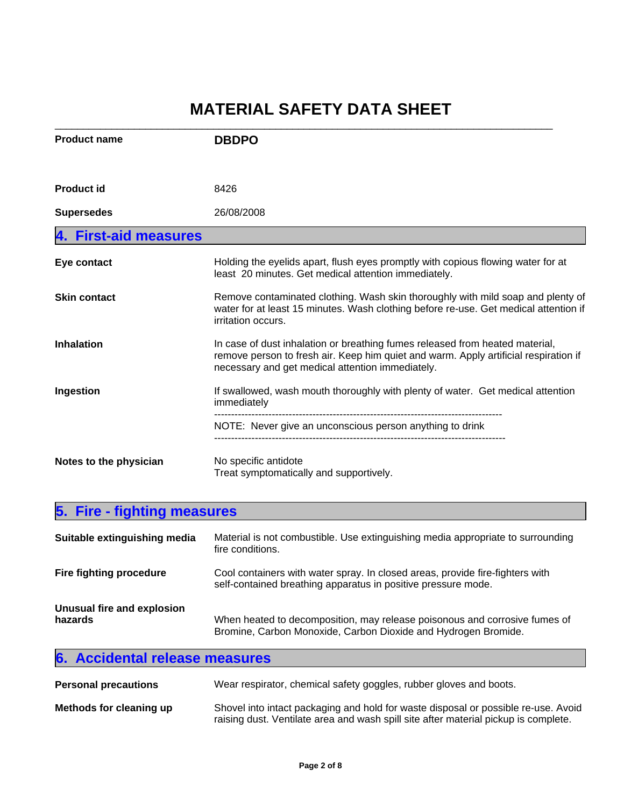| <b>Product name</b>    | <b>DBDPO</b>                                                                                                                                                                                                             |
|------------------------|--------------------------------------------------------------------------------------------------------------------------------------------------------------------------------------------------------------------------|
| <b>Product id</b>      | 8426                                                                                                                                                                                                                     |
| <b>Supersedes</b>      | 26/08/2008                                                                                                                                                                                                               |
| 4. First-aid measures  |                                                                                                                                                                                                                          |
| Eye contact            | Holding the eyelids apart, flush eyes promptly with copious flowing water for at<br>least 20 minutes. Get medical attention immediately.                                                                                 |
| <b>Skin contact</b>    | Remove contaminated clothing. Wash skin thoroughly with mild soap and plenty of<br>water for at least 15 minutes. Wash clothing before re-use. Get medical attention if<br>irritation occurs.                            |
| <b>Inhalation</b>      | In case of dust inhalation or breathing fumes released from heated material,<br>remove person to fresh air. Keep him quiet and warm. Apply artificial respiration if<br>necessary and get medical attention immediately. |
| Ingestion              | If swallowed, wash mouth thoroughly with plenty of water. Get medical attention<br>immediately                                                                                                                           |
|                        | NOTE: Never give an unconscious person anything to drink                                                                                                                                                                 |
| Notes to the physician | No specific antidote<br>Treat symptomatically and supportively.                                                                                                                                                          |

| 5. Fire - fighting measures           |                                                                                                                                                |  |
|---------------------------------------|------------------------------------------------------------------------------------------------------------------------------------------------|--|
| Suitable extinguishing media          | Material is not combustible. Use extinguishing media appropriate to surrounding<br>fire conditions.                                            |  |
| Fire fighting procedure               | Cool containers with water spray. In closed areas, provide fire-fighters with<br>self-contained breathing apparatus in positive pressure mode. |  |
| Unusual fire and explosion<br>hazards | When heated to decomposition, may release poisonous and corrosive fumes of<br>Bromine, Carbon Monoxide, Carbon Dioxide and Hydrogen Bromide.   |  |

|--|

| <b>Personal precautions</b> | Wear respirator, chemical safety goggles, rubber gloves and boots.                                                                                                        |
|-----------------------------|---------------------------------------------------------------------------------------------------------------------------------------------------------------------------|
| Methods for cleaning up     | Shovel into intact packaging and hold for waste disposal or possible re-use. Avoid<br>raising dust. Ventilate area and wash spill site after material pickup is complete. |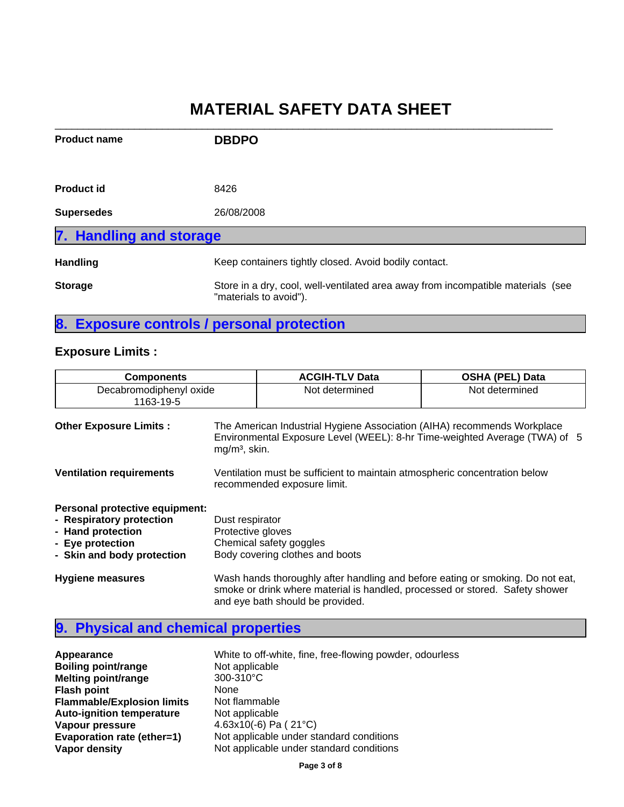| <b>Product name</b>     | <b>DBDPO</b>                                                                                               |
|-------------------------|------------------------------------------------------------------------------------------------------------|
| <b>Product id</b>       | 8426                                                                                                       |
| <b>Supersedes</b>       | 26/08/2008                                                                                                 |
| 7. Handling and storage |                                                                                                            |
| <b>Handling</b>         | Keep containers tightly closed. Avoid bodily contact.                                                      |
| <b>Storage</b>          | Store in a dry, cool, well-ventilated area away from incompatible materials (see<br>"materials to avoid"). |

## **8. Exposure controls / personal protection**

### **Exposure Limits :**

| <b>Components</b>                                                                                                                 | <b>ACGIH-TLV Data</b>                                                                                                                                                                              | <b>OSHA (PEL) Data</b> |  |
|-----------------------------------------------------------------------------------------------------------------------------------|----------------------------------------------------------------------------------------------------------------------------------------------------------------------------------------------------|------------------------|--|
| Decabromodiphenyl oxide<br>1163-19-5                                                                                              | Not determined                                                                                                                                                                                     | Not determined         |  |
| <b>Other Exposure Limits:</b>                                                                                                     | The American Industrial Hygiene Association (AIHA) recommends Workplace<br>Environmental Exposure Level (WEEL): 8-hr Time-weighted Average (TWA) of 5<br>$mg/m3$ , skin.                           |                        |  |
| <b>Ventilation requirements</b>                                                                                                   | Ventilation must be sufficient to maintain atmospheric concentration below<br>recommended exposure limit.                                                                                          |                        |  |
| Personal protective equipment:<br>- Respiratory protection<br>- Hand protection<br>- Eye protection<br>- Skin and body protection | Dust respirator<br>Protective gloves<br>Chemical safety goggles<br>Body covering clothes and boots                                                                                                 |                        |  |
| <b>Hygiene measures</b>                                                                                                           | Wash hands thoroughly after handling and before eating or smoking. Do not eat,<br>smoke or drink where material is handled, processed or stored. Safety shower<br>and eye bath should be provided. |                        |  |

## **9. Physical and chemical properties**

| Appearance                        | White to off-white, fine, free-flowing powder, odourless |
|-----------------------------------|----------------------------------------------------------|
| <b>Boiling point/range</b>        | Not applicable                                           |
| <b>Melting point/range</b>        | 300-310°C                                                |
| <b>Flash point</b>                | <b>None</b>                                              |
| <b>Flammable/Explosion limits</b> | Not flammable                                            |
| <b>Auto-ignition temperature</b>  | Not applicable                                           |
| Vapour pressure                   | 4.63x10(-6) Pa ( $21^{\circ}$ C)                         |
| Evaporation rate (ether=1)        | Not applicable under standard conditions                 |
| Vapor density                     | Not applicable under standard conditions                 |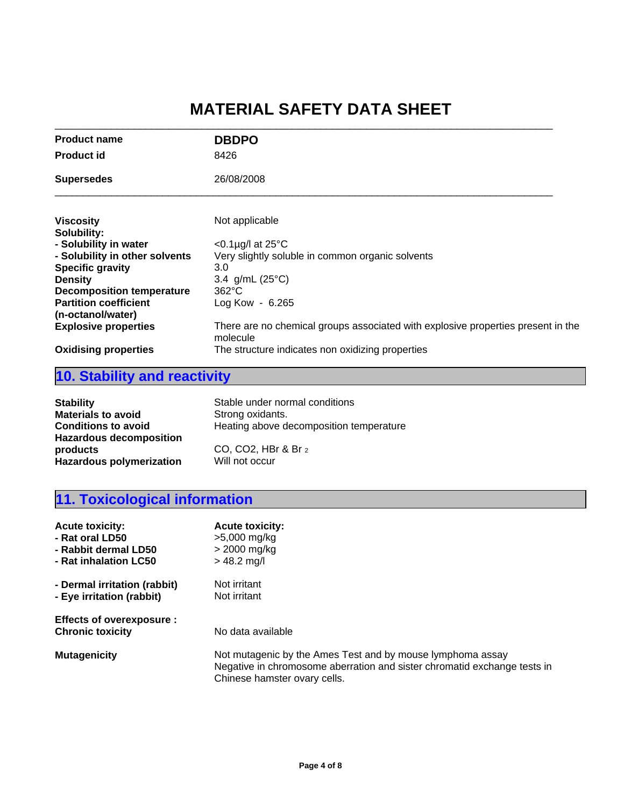| <b>Product name</b>              | <b>DBDPO</b>                                                                                 |
|----------------------------------|----------------------------------------------------------------------------------------------|
| <b>Product id</b>                | 8426                                                                                         |
| <b>Supersedes</b>                | 26/08/2008                                                                                   |
| <b>Viscosity</b>                 | Not applicable                                                                               |
| Solubility:                      |                                                                                              |
| - Solubility in water            | $<$ 0.1µg/l at 25 $\degree$ C                                                                |
| - Solubility in other solvents   | Very slightly soluble in common organic solvents                                             |
| <b>Specific gravity</b>          | 3.0                                                                                          |
| <b>Density</b>                   | 3.4 g/mL $(25^{\circ}C)$                                                                     |
| <b>Decomposition temperature</b> | $362^{\circ}$ C                                                                              |
| <b>Partition coefficient</b>     | Log Kow - $6.265$                                                                            |
| (n-octanol/water)                |                                                                                              |
| <b>Explosive properties</b>      | There are no chemical groups associated with explosive properties present in the<br>molecule |
| <b>Oxidising properties</b>      | The structure indicates non oxidizing properties                                             |
|                                  |                                                                                              |

# **10. Stability and reactivity**

| <b>Stability</b>                                                              | Stable under normal conditions          |
|-------------------------------------------------------------------------------|-----------------------------------------|
| <b>Materials to avoid</b>                                                     | Strong oxidants.                        |
| <b>Conditions to avoid</b>                                                    | Heating above decomposition temperature |
| <b>Hazardous decomposition</b><br>products<br><b>Hazardous polymerization</b> | CO, CO2, HBr & Br 2<br>Will not occur   |

# **11. Toxicological information**

| <b>Acute toxicity:</b>                                     | <b>Acute toxicity:</b>                                                                                                                                                 |
|------------------------------------------------------------|------------------------------------------------------------------------------------------------------------------------------------------------------------------------|
| - Rat oral LD50                                            | >5,000 mg/kg                                                                                                                                                           |
| - Rabbit dermal LD50                                       | $>$ 2000 mg/kg                                                                                                                                                         |
| - Rat inhalation LC50                                      | $> 48.2$ mg/l                                                                                                                                                          |
| - Dermal irritation (rabbit)                               | Not irritant                                                                                                                                                           |
| - Eye irritation (rabbit)                                  | Not irritant                                                                                                                                                           |
| <b>Effects of overexposure:</b><br><b>Chronic toxicity</b> | No data available                                                                                                                                                      |
| <b>Mutagenicity</b>                                        | Not mutagenic by the Ames Test and by mouse lymphoma assay<br>Negative in chromosome aberration and sister chromatid exchange tests in<br>Chinese hamster ovary cells. |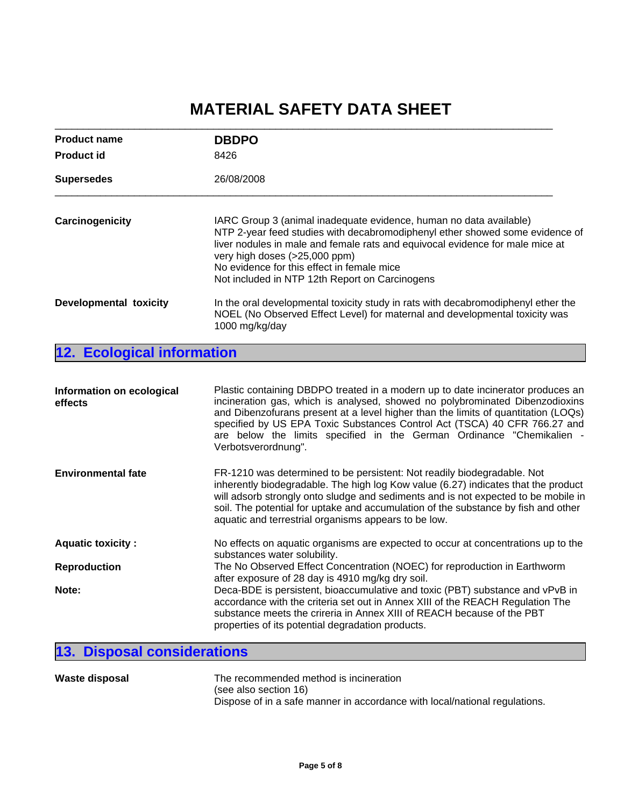| <b>Product name</b>             | <b>DBDPO</b>                                                                                                                                                                                                                                                                                                                                                         |  |
|---------------------------------|----------------------------------------------------------------------------------------------------------------------------------------------------------------------------------------------------------------------------------------------------------------------------------------------------------------------------------------------------------------------|--|
| <b>Product id</b>               | 8426                                                                                                                                                                                                                                                                                                                                                                 |  |
| 26/08/2008<br><b>Supersedes</b> |                                                                                                                                                                                                                                                                                                                                                                      |  |
| Carcinogenicity                 | IARC Group 3 (animal inadequate evidence, human no data available)<br>NTP 2-year feed studies with decabromodiphenyl ether showed some evidence of<br>liver nodules in male and female rats and equivocal evidence for male mice at<br>very high doses (>25,000 ppm)<br>No evidence for this effect in female mice<br>Not included in NTP 12th Report on Carcinogens |  |
| Developmental toxicity          | In the oral developmental toxicity study in rats with decabromodiphenyl ether the<br>NOEL (No Observed Effect Level) for maternal and developmental toxicity was<br>1000 mg/kg/day                                                                                                                                                                                   |  |

**12. Ecological information**

| Information on ecological<br>effects | Plastic containing DBDPO treated in a modern up to date incinerator produces an<br>incineration gas, which is analysed, showed no polybrominated Dibenzodioxins<br>and Dibenzofurans present at a level higher than the limits of quantitation (LOQs)<br>specified by US EPA Toxic Substances Control Act (TSCA) 40 CFR 766.27 and<br>are below the limits specified in the German Ordinance "Chemikalien -<br>Verbotsverordnung". |  |
|--------------------------------------|------------------------------------------------------------------------------------------------------------------------------------------------------------------------------------------------------------------------------------------------------------------------------------------------------------------------------------------------------------------------------------------------------------------------------------|--|
| <b>Environmental fate</b>            | FR-1210 was determined to be persistent: Not readily biodegradable. Not<br>inherently biodegradable. The high log Kow value (6.27) indicates that the product<br>will adsorb strongly onto sludge and sediments and is not expected to be mobile in<br>soil. The potential for uptake and accumulation of the substance by fish and other<br>aquatic and terrestrial organisms appears to be low.                                  |  |
| <b>Aquatic toxicity:</b>             | No effects on aquatic organisms are expected to occur at concentrations up to the<br>substances water solubility.                                                                                                                                                                                                                                                                                                                  |  |
| <b>Reproduction</b>                  | The No Observed Effect Concentration (NOEC) for reproduction in Earthworm<br>after exposure of 28 day is 4910 mg/kg dry soil.                                                                                                                                                                                                                                                                                                      |  |
| Note:                                | Deca-BDE is persistent, bioaccumulative and toxic (PBT) substance and vPvB in<br>accordance with the criteria set out in Annex XIII of the REACH Regulation The<br>substance meets the crireria in Annex XIII of REACH because of the PBT<br>properties of its potential degradation products.                                                                                                                                     |  |

# **13. Disposal considerations**

| <b>Waste disposal</b> | The recommended method is incineration                                     |
|-----------------------|----------------------------------------------------------------------------|
|                       | (see also section 16)                                                      |
|                       | Dispose of in a safe manner in accordance with local/national regulations. |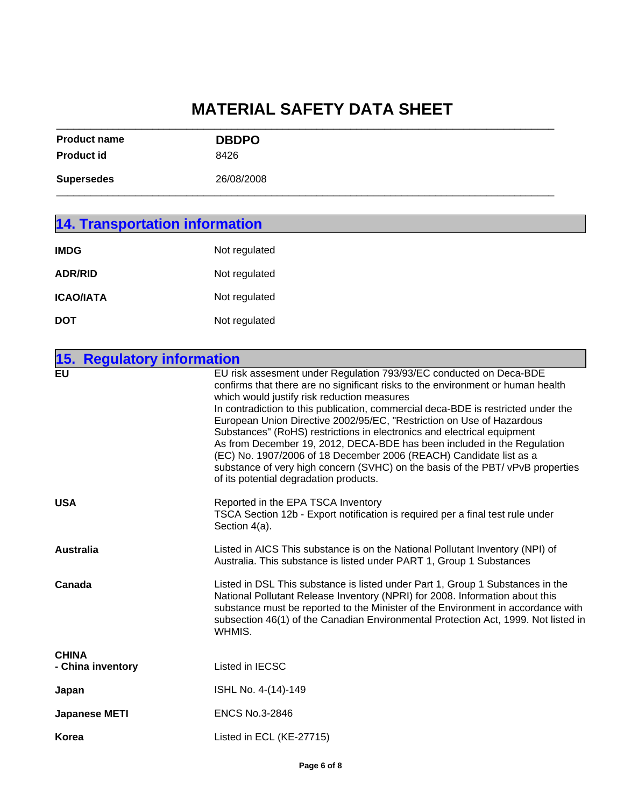| <b>Product name</b> | <b>DBDPO</b> |  |
|---------------------|--------------|--|
| <b>Product id</b>   | 8426         |  |
| <b>Supersedes</b>   | 26/08/2008   |  |
|                     |              |  |

| <b>14. Transportation information</b> |                                                                                                                 |  |
|---------------------------------------|-----------------------------------------------------------------------------------------------------------------|--|
| <b>IMDG</b>                           | Not regulated                                                                                                   |  |
| <b>ADR/RID</b>                        | Not regulated                                                                                                   |  |
| <b>ICAO/IATA</b>                      | Not regulated                                                                                                   |  |
| <b>DOT</b>                            | Not regulated                                                                                                   |  |
| $\overline{ }$                        | The contract of the contract of the contract of the contract of the contract of the contract of the contract of |  |

| 15. Regulatory information        |                                                                                                                                                                                                                                                                                                                                                                                                                                                                                                                                                                                                                                                                                                                            |
|-----------------------------------|----------------------------------------------------------------------------------------------------------------------------------------------------------------------------------------------------------------------------------------------------------------------------------------------------------------------------------------------------------------------------------------------------------------------------------------------------------------------------------------------------------------------------------------------------------------------------------------------------------------------------------------------------------------------------------------------------------------------------|
| <b>EU</b>                         | EU risk assesment under Regulation 793/93/EC conducted on Deca-BDE<br>confirms that there are no significant risks to the environment or human health<br>which would justify risk reduction measures<br>In contradiction to this publication, commercial deca-BDE is restricted under the<br>European Union Directive 2002/95/EC, "Restriction on Use of Hazardous<br>Substances" (RoHS) restrictions in electronics and electrical equipment<br>As from December 19, 2012, DECA-BDE has been included in the Regulation<br>(EC) No. 1907/2006 of 18 December 2006 (REACH) Candidate list as a<br>substance of very high concern (SVHC) on the basis of the PBT/ vPvB properties<br>of its potential degradation products. |
| <b>USA</b>                        | Reported in the EPA TSCA Inventory<br>TSCA Section 12b - Export notification is required per a final test rule under<br>Section 4(a).                                                                                                                                                                                                                                                                                                                                                                                                                                                                                                                                                                                      |
| Australia                         | Listed in AICS This substance is on the National Pollutant Inventory (NPI) of<br>Australia. This substance is listed under PART 1, Group 1 Substances                                                                                                                                                                                                                                                                                                                                                                                                                                                                                                                                                                      |
| Canada                            | Listed in DSL This substance is listed under Part 1, Group 1 Substances in the<br>National Pollutant Release Inventory (NPRI) for 2008. Information about this<br>substance must be reported to the Minister of the Environment in accordance with<br>subsection 46(1) of the Canadian Environmental Protection Act, 1999. Not listed in<br>WHMIS.                                                                                                                                                                                                                                                                                                                                                                         |
| <b>CHINA</b><br>- China inventory | Listed in IECSC                                                                                                                                                                                                                                                                                                                                                                                                                                                                                                                                                                                                                                                                                                            |
| Japan                             | ISHL No. 4-(14)-149                                                                                                                                                                                                                                                                                                                                                                                                                                                                                                                                                                                                                                                                                                        |
| <b>Japanese METI</b>              | <b>ENCS No.3-2846</b>                                                                                                                                                                                                                                                                                                                                                                                                                                                                                                                                                                                                                                                                                                      |
| Korea                             | Listed in ECL (KE-27715)                                                                                                                                                                                                                                                                                                                                                                                                                                                                                                                                                                                                                                                                                                   |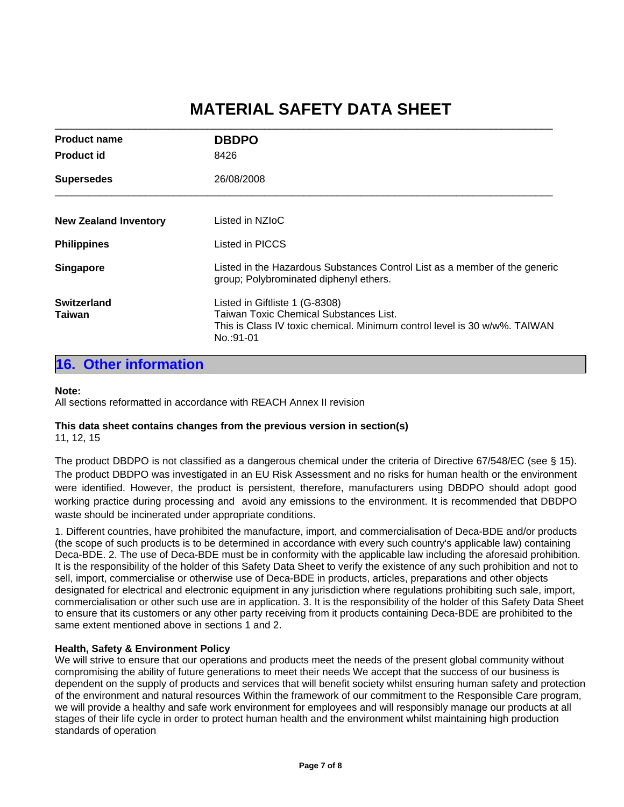\_\_\_\_\_\_\_\_\_\_\_\_\_\_\_\_\_\_\_\_\_\_\_\_\_\_\_\_\_\_\_\_\_\_\_\_\_\_\_\_\_\_\_\_\_\_\_\_\_\_\_\_\_\_\_\_\_\_\_\_\_\_\_\_\_\_\_\_\_\_\_\_\_\_\_\_\_\_\_\_\_\_\_\_\_\_\_\_

| <b>Product name</b>             | <b>DBDPO</b>                                                                                                                                                              |  |
|---------------------------------|---------------------------------------------------------------------------------------------------------------------------------------------------------------------------|--|
| <b>Product id</b>               | 8426                                                                                                                                                                      |  |
| 26/08/2008<br><b>Supersedes</b> |                                                                                                                                                                           |  |
| <b>New Zealand Inventory</b>    | Listed in NZIoC                                                                                                                                                           |  |
| <b>Philippines</b>              | Listed in PICCS                                                                                                                                                           |  |
| <b>Singapore</b>                | Listed in the Hazardous Substances Control List as a member of the generic<br>group; Polybrominated diphenyl ethers.                                                      |  |
| <b>Switzerland</b><br>Taiwan    | Listed in Giftliste 1 (G-8308)<br><b>Taiwan Toxic Chemical Substances List.</b><br>This is Class IV toxic chemical. Minimum control level is 30 w/w%. TAIWAN<br>No.:91-01 |  |

### **16. Other information**

#### **Note:**

All sections reformatted in accordance with REACH Annex II revision

## **This data sheet contains changes from the previous version in section(s)**

11, 12, 15

The product DBDPO is not classified as a dangerous chemical under the criteria of Directive 67/548/EC (see § 15). The product DBDPO was investigated in an EU Risk Assessment and no risks for human health or the environment were identified. However, the product is persistent, therefore, manufacturers using DBDPO should adopt good working practice during processing and avoid any emissions to the environment. It is recommended that DBDPO waste should be incinerated under appropriate conditions.

1. Different countries, have prohibited the manufacture, import, and commercialisation of Deca-BDE and/or products (the scope of such products is to be determined in accordance with every such country's applicable law) containing Deca-BDE. 2. The use of Deca-BDE must be in conformity with the applicable law including the aforesaid prohibition. It is the responsibility of the holder of this Safety Data Sheet to verify the existence of any such prohibition and not to sell, import, commercialise or otherwise use of Deca-BDE in products, articles, preparations and other objects designated for electrical and electronic equipment in any jurisdiction where regulations prohibiting such sale, import, commercialisation or other such use are in application. 3. It is the responsibility of the holder of this Safety Data Sheet to ensure that its customers or any other party receiving from it products containing Deca-BDE are prohibited to the same extent mentioned above in sections 1 and 2.

### **Health, Safety & Environment Policy**

We will strive to ensure that our operations and products meet the needs of the present global community without compromising the ability of future generations to meet their needs We accept that the success of our business is dependent on the supply of products and services that will benefit society whilst ensuring human safety and protection of the environment and natural resources Within the framework of our commitment to the Responsible Care program, we will provide a healthy and safe work environment for employees and will responsibly manage our products at all stages of their life cycle in order to protect human health and the environment whilst maintaining high production standards of operation